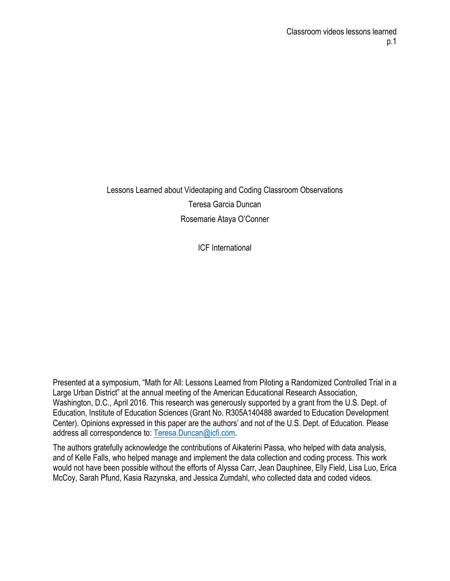Lessons Learned about Videotaping and Coding Classroom Observations Teresa Garcia Duncan Rosemarie Ataya O'Conner

ICF International

Presented at a symposium, "Math for All: Lessons Learned from Piloting a Randomized Controlled Trial in a Large Urban District" at the annual meeting of the American Educational Research Association, Washington, D.C., April 2016. This research was generously supported by a grant from the U.S. Dept. of Education, Institute of Education Sciences (Grant No. R305A140488 awarded to Education Development Center). Opinions expressed in this paper are the authors' and not of the U.S. Dept. of Education. Please address all correspondence to: Teresa.Duncan@icfi.com.

The authors gratefully acknowledge the contributions of Aikaterini Passa, who helped with data analysis, and of Kelle Falls, who helped manage and implement the data collection and coding process. This work would not have been possible without the efforts of Alyssa Carr, Jean Dauphinee, Elly Field, Lisa Luo, Erica McCoy, Sarah Pfund, Kasia Razynska, and Jessica Zumdahl, who collected data and coded videos.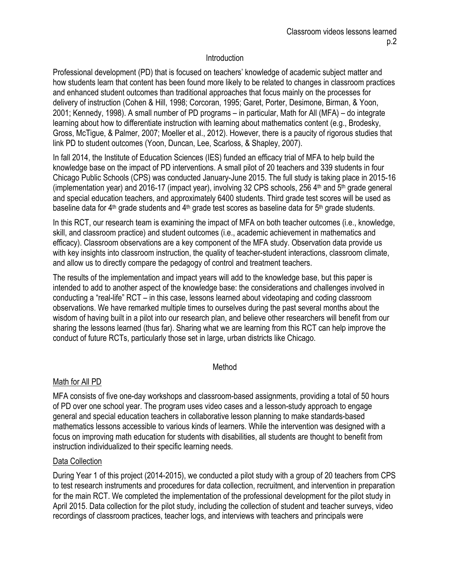## **Introduction**

Professional development (PD) that is focused on teachers' knowledge of academic subject matter and how students learn that content has been found more likely to be related to changes in classroom practices and enhanced student outcomes than traditional approaches that focus mainly on the processes for delivery of instruction (Cohen & Hill, 1998; Corcoran, 1995; Garet, Porter, Desimone, Birman, & Yoon, 2001; Kennedy, 1998). A small number of PD programs – in particular, Math for All (MFA) – do integrate learning about how to differentiate instruction with learning about mathematics content (e.g., Brodesky, Gross, McTigue, & Palmer, 2007; Moeller et al., 2012). However, there is a paucity of rigorous studies that link PD to student outcomes (Yoon, Duncan, Lee, Scarloss, & Shapley, 2007).

In fall 2014, the Institute of Education Sciences (IES) funded an efficacy trial of MFA to help build the knowledge base on the impact of PD interventions. A small pilot of 20 teachers and 339 students in four Chicago Public Schools (CPS) was conducted January-June 2015. The full study is taking place in 2015-16 (implementation year) and 2016-17 (impact year), involving 32 CPS schools, 256  $4<sup>th</sup>$  and 5<sup>th</sup> grade general and special education teachers, and approximately 6400 students. Third grade test scores will be used as baseline data for 4<sup>th</sup> grade students and 4<sup>th</sup> grade test scores as baseline data for 5<sup>th</sup> grade students.

In this RCT, our research team is examining the impact of MFA on both teacher outcomes (i.e., knowledge, skill, and classroom practice) and student outcomes (i.e., academic achievement in mathematics and efficacy). Classroom observations are a key component of the MFA study. Observation data provide us with key insights into classroom instruction, the quality of teacher-student interactions, classroom climate, and allow us to directly compare the pedagogy of control and treatment teachers.

The results of the implementation and impact years will add to the knowledge base, but this paper is intended to add to another aspect of the knowledge base: the considerations and challenges involved in conducting a "real-life" RCT – in this case, lessons learned about videotaping and coding classroom observations. We have remarked multiple times to ourselves during the past several months about the wisdom of having built in a pilot into our research plan, and believe other researchers will benefit from our sharing the lessons learned (thus far). Sharing what we are learning from this RCT can help improve the conduct of future RCTs, particularly those set in large, urban districts like Chicago.

## Method

## Math for All PD

MFA consists of five one-day workshops and classroom-based assignments, providing a total of 50 hours of PD over one school year. The program uses video cases and a lesson-study approach to engage general and special education teachers in collaborative lesson planning to make standards-based mathematics lessons accessible to various kinds of learners. While the intervention was designed with a focus on improving math education for students with disabilities, all students are thought to benefit from instruction individualized to their specific learning needs.

## Data Collection

During Year 1 of this project (2014-2015), we conducted a pilot study with a group of 20 teachers from CPS to test research instruments and procedures for data collection, recruitment, and intervention in preparation for the main RCT. We completed the implementation of the professional development for the pilot study in April 2015. Data collection for the pilot study, including the collection of student and teacher surveys, video recordings of classroom practices, teacher logs, and interviews with teachers and principals were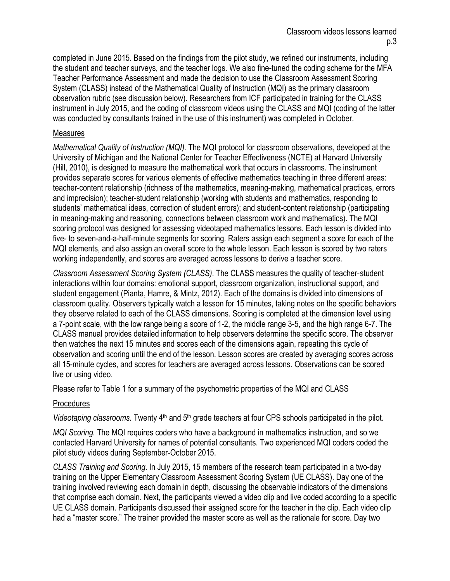completed in June 2015. Based on the findings from the pilot study, we refined our instruments, including the student and teacher surveys, and the teacher logs. We also fine-tuned the coding scheme for the MFA Teacher Performance Assessment and made the decision to use the Classroom Assessment Scoring System (CLASS) instead of the Mathematical Quality of Instruction (MQI) as the primary classroom observation rubric (see discussion below). Researchers from ICF participated in training for the CLASS instrument in July 2015, and the coding of classroom videos using the CLASS and MQI (coding of the latter was conducted by consultants trained in the use of this instrument) was completed in October.

## Measures

*Mathematical Quality of Instruction (MQI)*. The MQI protocol for classroom observations, developed at the University of Michigan and the National Center for Teacher Effectiveness (NCTE) at Harvard University (Hill, 2010), is designed to measure the mathematical work that occurs in classrooms. The instrument provides separate scores for various elements of effective mathematics teaching in three different areas: teacher-content relationship (richness of the mathematics, meaning-making, mathematical practices, errors and imprecision); teacher-student relationship (working with students and mathematics, responding to students' mathematical ideas, correction of student errors); and student-content relationship (participating in meaning-making and reasoning, connections between classroom work and mathematics). The MQI scoring protocol was designed for assessing videotaped mathematics lessons. Each lesson is divided into five- to seven-and-a-half-minute segments for scoring. Raters assign each segment a score for each of the MQI elements, and also assign an overall score to the whole lesson. Each lesson is scored by two raters working independently, and scores are averaged across lessons to derive a teacher score.

*Classroom Assessment Scoring System (CLASS)*. The CLASS measures the quality of teacher-student interactions within four domains: emotional support, classroom organization, instructional support, and student engagement (Pianta, Hamre, & Mintz, 2012). Each of the domains is divided into dimensions of classroom quality. Observers typically watch a lesson for 15 minutes, taking notes on the specific behaviors they observe related to each of the CLASS dimensions. Scoring is completed at the dimension level using a 7-point scale, with the low range being a score of 1-2, the middle range 3-5, and the high range 6-7. The CLASS manual provides detailed information to help observers determine the specific score. The observer then watches the next 15 minutes and scores each of the dimensions again, repeating this cycle of observation and scoring until the end of the lesson. Lesson scores are created by averaging scores across all 15-minute cycles, and scores for teachers are averaged across lessons. Observations can be scored live or using video.

Please refer to Table 1 for a summary of the psychometric properties of the MQI and CLASS

## Procedures

*Videotaping classrooms.* Twenty 4<sup>th</sup> and 5<sup>th</sup> grade teachers at four CPS schools participated in the pilot.

*MQI Scoring.* The MQI requires coders who have a background in mathematics instruction, and so we contacted Harvard University for names of potential consultants. Two experienced MQI coders coded the pilot study videos during September-October 2015.

*CLASS Training and Scoring*. In July 2015, 15 members of the research team participated in a two-day training on the Upper Elementary Classroom Assessment Scoring System (UE CLASS). Day one of the training involved reviewing each domain in depth, discussing the observable indicators of the dimensions that comprise each domain. Next, the participants viewed a video clip and live coded according to a specific UE CLASS domain. Participants discussed their assigned score for the teacher in the clip. Each video clip had a "master score." The trainer provided the master score as well as the rationale for score. Day two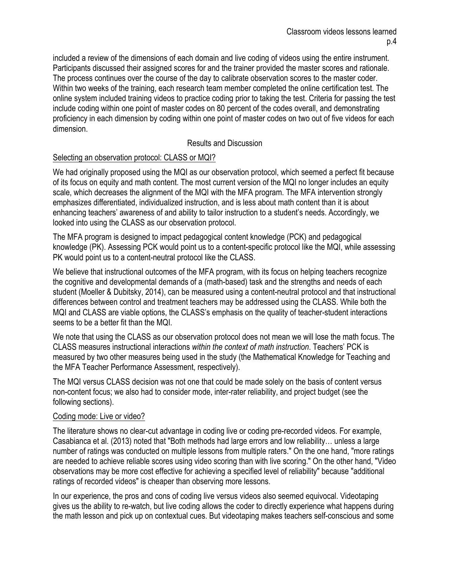included a review of the dimensions of each domain and live coding of videos using the entire instrument. Participants discussed their assigned scores for and the trainer provided the master scores and rationale. The process continues over the course of the day to calibrate observation scores to the master coder. Within two weeks of the training, each research team member completed the online certification test. The online system included training videos to practice coding prior to taking the test. Criteria for passing the test include coding within one point of master codes on 80 percent of the codes overall, and demonstrating proficiency in each dimension by coding within one point of master codes on two out of five videos for each dimension.

## Results and Discussion

## Selecting an observation protocol: CLASS or MQI?

We had originally proposed using the MQI as our observation protocol, which seemed a perfect fit because of its focus on equity and math content. The most current version of the MQI no longer includes an equity scale, which decreases the alignment of the MQI with the MFA program. The MFA intervention strongly emphasizes differentiated, individualized instruction, and is less about math content than it is about enhancing teachers' awareness of and ability to tailor instruction to a student's needs. Accordingly, we looked into using the CLASS as our observation protocol.

The MFA program is designed to impact pedagogical content knowledge (PCK) and pedagogical knowledge (PK). Assessing PCK would point us to a content-specific protocol like the MQI, while assessing PK would point us to a content-neutral protocol like the CLASS.

We believe that instructional outcomes of the MFA program, with its focus on helping teachers recognize the cognitive and developmental demands of a (math-based) task and the strengths and needs of each student (Moeller & Dubitsky, 2014), can be measured using a content-neutral protocol and that instructional differences between control and treatment teachers may be addressed using the CLASS. While both the MQI and CLASS are viable options, the CLASS's emphasis on the quality of teacher-student interactions seems to be a better fit than the MQI.

We note that using the CLASS as our observation protocol does not mean we will lose the math focus. The CLASS measures instructional interactions *within the context of math instruction*. Teachers' PCK is measured by two other measures being used in the study (the Mathematical Knowledge for Teaching and the MFA Teacher Performance Assessment, respectively).

The MQI versus CLASS decision was not one that could be made solely on the basis of content versus non-content focus; we also had to consider mode, inter-rater reliability, and project budget (see the following sections).

## Coding mode: Live or video?

The literature shows no clear-cut advantage in coding live or coding pre-recorded videos. For example, Casabianca et al. (2013) noted that "Both methods had large errors and low reliability… unless a large number of ratings was conducted on multiple lessons from multiple raters." On the one hand, "more ratings are needed to achieve reliable scores using video scoring than with live scoring." On the other hand, "Video observations may be more cost effective for achieving a specified level of reliability" because "additional ratings of recorded videos" is cheaper than observing more lessons.

In our experience, the pros and cons of coding live versus videos also seemed equivocal. Videotaping gives us the ability to re-watch, but live coding allows the coder to directly experience what happens during the math lesson and pick up on contextual cues. But videotaping makes teachers self-conscious and some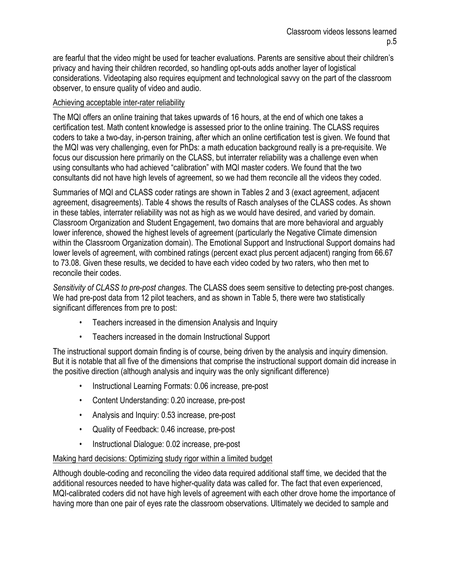are fearful that the video might be used for teacher evaluations. Parents are sensitive about their children's privacy and having their children recorded, so handling opt-outs adds another layer of logistical considerations. Videotaping also requires equipment and technological savvy on the part of the classroom observer, to ensure quality of video and audio.

## Achieving acceptable inter-rater reliability

The MQI offers an online training that takes upwards of 16 hours, at the end of which one takes a certification test. Math content knowledge is assessed prior to the online training. The CLASS requires coders to take a two-day, in-person training, after which an online certification test is given. We found that the MQI was very challenging, even for PhDs: a math education background really is a pre-requisite. We focus our discussion here primarily on the CLASS, but interrater reliability was a challenge even when using consultants who had achieved "calibration" with MQI master coders. We found that the two consultants did not have high levels of agreement, so we had them reconcile all the videos they coded.

Summaries of MQI and CLASS coder ratings are shown in Tables 2 and 3 (exact agreement, adjacent agreement, disagreements). Table 4 shows the results of Rasch analyses of the CLASS codes. As shown in these tables, interrater reliability was not as high as we would have desired, and varied by domain. Classroom Organization and Student Engagement, two domains that are more behavioral and arguably lower inference, showed the highest levels of agreement (particularly the Negative Climate dimension within the Classroom Organization domain). The Emotional Support and Instructional Support domains had lower levels of agreement, with combined ratings (percent exact plus percent adjacent) ranging from 66.67 to 73.08. Given these results, we decided to have each video coded by two raters, who then met to reconcile their codes.

*Sensitivity of CLASS to pre-post changes*. The CLASS does seem sensitive to detecting pre-post changes. We had pre-post data from 12 pilot teachers, and as shown in Table 5, there were two statistically significant differences from pre to post:

- Teachers increased in the dimension Analysis and Inquiry
- Teachers increased in the domain Instructional Support

The instructional support domain finding is of course, being driven by the analysis and inquiry dimension. But it is notable that all five of the dimensions that comprise the instructional support domain did increase in the positive direction (although analysis and inquiry was the only significant difference)

- Instructional Learning Formats: 0.06 increase, pre-post
- Content Understanding: 0.20 increase, pre-post
- Analysis and Inquiry: 0.53 increase, pre-post
- Quality of Feedback: 0.46 increase, pre-post
- Instructional Dialogue: 0.02 increase, pre-post

## Making hard decisions: Optimizing study rigor within a limited budget

Although double-coding and reconciling the video data required additional staff time, we decided that the additional resources needed to have higher-quality data was called for. The fact that even experienced, MQI-calibrated coders did not have high levels of agreement with each other drove home the importance of having more than one pair of eyes rate the classroom observations. Ultimately we decided to sample and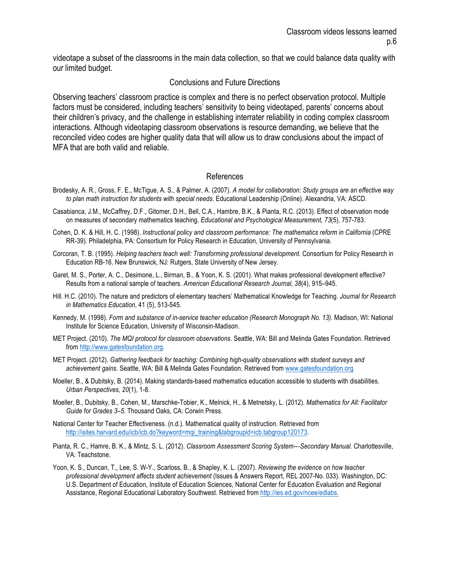videotape a subset of the classrooms in the main data collection, so that we could balance data quality with our limited budget.

#### Conclusions and Future Directions

Observing teachers' classroom practice is complex and there is no perfect observation protocol. Multiple factors must be considered, including teachers' sensitivity to being videotaped, parents' concerns about their children's privacy, and the challenge in establishing interrater reliability in coding complex classroom interactions. Although videotaping classroom observations is resource demanding, we believe that the reconciled video codes are higher quality data that will allow us to draw conclusions about the impact of MFA that are both valid and reliable.

#### References

- Brodesky, A. R., Gross, F. E., McTigue, A. S., & Palmer, A. (2007). *A model for collaboration: Study groups are an effective way to plan math instruction for students with special needs*. Educational Leadership (Online). Alexandria, VA: ASCD.
- Casabianca, J.M., McCaffrey, D.F., Gitomer, D.H., Bell, C.A., Hambre, B.K., & Pianta, R.C. (2013). Effect of observation mode on measures of secondary mathematics teaching. *Educational and Psychological Measurement*, *73*(5), 757-783.
- Cohen, D. K. & Hill, H. C. (1998). *Instructional policy and classroom performance: The mathematics reform in California* (CPRE RR-39). Philadelphia, PA: Consortium for Policy Research in Education, University of Pennsylvania.
- Corcoran, T. B. (1995). *Helping teachers teach well: Transforming professional development*. Consortium for Policy Research in Education RB-16. New Brunswick, NJ: Rutgers, State University of New Jersey.
- Garet, M. S., Porter, A. C., Desimone, L., Birman, B., & Yoon, K. S. (2001). What makes professional development effective? Results from a national sample of teachers. *American Educational Research Journal*, *38*(4), 915–945.
- Hill. H.C. (2010). The nature and predictors of elementary teachers' Mathematical Knowledge for Teaching. *Journal for Research in Mathematics Education*, 41 (5), 513-545.
- Kennedy, M. (1998). *Form and substance of in-service teacher education (Research Monograph No. 13)*. Madison, WI: National Institute for Science Education, University of Wisconsin-Madison.
- MET Project. (2010). *The MQI protocol for classroom observations*. Seattle, WA: Bill and Melinda Gates Foundation. Retrieved from http://www.gatesfoundation.org.
- MET Project. (2012). *Gathering feedback for teaching: Combining high-quality observations with student surveys and achievement gains*. Seattle, WA: Bill & Melinda Gates Foundation. Retrieved from www.gatesfoundation.org
- Moeller, B., & Dubitsky, B. (2014). Making standards-based mathematics education accessible to students with disabilities. *Urban Perspectives*, *20*(1), 1-8.
- Moeller, B., Dubitsky, B., Cohen, M., Marschke-Tobier, K., Melnick, H., & Metnetsky, L. (2012). *Mathematics for All: Facilitator Guide for Grades 3–5*. Thousand Oaks, CA: Corwin Press.
- National Center for Teacher Effectiveness. (n.d.). Mathematical quality of instruction. Retrieved from http://isites.harvard.edu/icb/icb.do?keyword=mqi\_training&tabgroupid=icb.tabgroup120173.
- Pianta, R. C., Hamre, B. K., & Mintz, S. L. (2012). *Classroom Assessment Scoring System--*-*Secondary Manual.* Charlottesville, VA: Teachstone.
- Yoon, K. S., Duncan, T., Lee, S. W-Y., Scarloss, B., & Shapley, K. L. (2007). *Reviewing the evidence on how teacher professional development affects student achievement* (Issues & Answers Report, REL 2007-No. 033). Washington, DC: U.S. Department of Education, Institute of Education Sciences, National Center for Education Evaluation and Regional Assistance, Regional Educational Laboratory Southwest. Retrieved from http://ies.ed.gov/ncee/edlabs.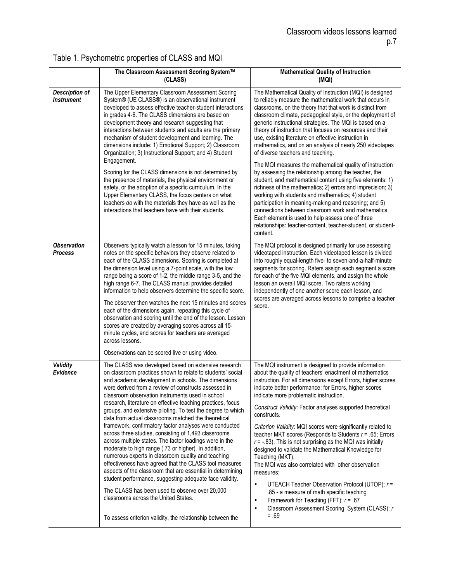|                                            | The Classroom Assessment Scoring System™<br>(CLASS)                                                                                                                                                                                                                                                                                                                                                                                                                                                                                                                                                                                                                                                                                                                                                                                                                                                                                                                                                                                                                                                                                                                | <b>Mathematical Quality of Instruction</b><br>(MQI)                                                                                                                                                                                                                                                                                                                                                                                                                                                                                                                                                                                                                                                                                                                                                                                                                                                                                                          |
|--------------------------------------------|--------------------------------------------------------------------------------------------------------------------------------------------------------------------------------------------------------------------------------------------------------------------------------------------------------------------------------------------------------------------------------------------------------------------------------------------------------------------------------------------------------------------------------------------------------------------------------------------------------------------------------------------------------------------------------------------------------------------------------------------------------------------------------------------------------------------------------------------------------------------------------------------------------------------------------------------------------------------------------------------------------------------------------------------------------------------------------------------------------------------------------------------------------------------|--------------------------------------------------------------------------------------------------------------------------------------------------------------------------------------------------------------------------------------------------------------------------------------------------------------------------------------------------------------------------------------------------------------------------------------------------------------------------------------------------------------------------------------------------------------------------------------------------------------------------------------------------------------------------------------------------------------------------------------------------------------------------------------------------------------------------------------------------------------------------------------------------------------------------------------------------------------|
| <b>Description of</b><br><b>Instrument</b> | The Upper Elementary Classroom Assessment Scoring<br>System® (UE CLASS®) is an observational instrument<br>developed to assess effective teacher-student interactions<br>in grades 4-6. The CLASS dimensions are based on<br>development theory and research suggesting that<br>interactions between students and adults are the primary<br>mechanism of student development and learning. The<br>dimensions include: 1) Emotional Support; 2) Classroom<br>Organization; 3) Instructional Support; and 4) Student<br>Engagement.                                                                                                                                                                                                                                                                                                                                                                                                                                                                                                                                                                                                                                  | The Mathematical Quality of Instruction (MQI) is designed<br>to reliably measure the mathematical work that occurs in<br>classrooms, on the theory that that work is distinct from<br>classroom climate, pedagogical style, or the deployment of<br>generic instructional strategies. The MQI is based on a<br>theory of instruction that focuses on resources and their<br>use, existing literature on effective instruction in<br>mathematics, and on an analysis of nearly 250 videotapes<br>of diverse teachers and teaching.                                                                                                                                                                                                                                                                                                                                                                                                                            |
|                                            | Scoring for the CLASS dimensions is not determined by<br>the presence of materials, the physical environment or<br>safety, or the adoption of a specific curriculum. In the<br>Upper Elementary CLASS, the focus centers on what<br>teachers do with the materials they have as well as the<br>interactions that teachers have with their students.                                                                                                                                                                                                                                                                                                                                                                                                                                                                                                                                                                                                                                                                                                                                                                                                                | The MQI measures the mathematical quality of instruction<br>by assessing the relationship among the teacher, the<br>student, and mathematical content using five elements: 1)<br>richness of the mathematics; 2) errors and imprecision; 3)<br>working with students and mathematics; 4) student<br>participation in meaning-making and reasoning; and 5)<br>connections between classroom work and mathematics.<br>Each element is used to help assess one of three<br>relationships: teacher-content, teacher-student, or student-<br>content.                                                                                                                                                                                                                                                                                                                                                                                                             |
| <b>Observation</b><br><b>Process</b>       | Observers typically watch a lesson for 15 minutes, taking<br>notes on the specific behaviors they observe related to<br>each of the CLASS dimensions. Scoring is completed at<br>the dimension level using a 7-point scale, with the low<br>range being a score of 1-2, the middle range 3-5, and the<br>high range 6-7. The CLASS manual provides detailed<br>information to help observers determine the specific score.<br>The observer then watches the next 15 minutes and scores<br>each of the dimensions again, repeating this cycle of<br>observation and scoring until the end of the lesson. Lesson<br>scores are created by averaging scores across all 15-<br>minute cycles, and scores for teachers are averaged<br>across lessons.                                                                                                                                                                                                                                                                                                                                                                                                                  | The MQI protocol is designed primarily for use assessing<br>videotaped instruction. Each videotaped lesson is divided<br>into roughly equal-length five- to seven-and-a-half-minute<br>segments for scoring. Raters assign each segment a score<br>for each of the five MQI elements, and assign the whole<br>lesson an overall MQI score. Two raters working<br>independently of one another score each lesson, and<br>scores are averaged across lessons to comprise a teacher<br>score.                                                                                                                                                                                                                                                                                                                                                                                                                                                                   |
| Validity<br><b>Evidence</b>                | Observations can be scored live or using video.<br>The CLASS was developed based on extensive research<br>on classroom practices shown to relate to students' social<br>and academic development in schools. The dimensions<br>were derived from a review of constructs assessed in<br>classroom observation instruments used in school<br>research, literature on effective teaching practices, focus<br>groups, and extensive piloting. To test the degree to which<br>data from actual classrooms matched the theoretical<br>framework, confirmatory factor analyses were conducted<br>across three studies, consisting of 1,493 classrooms<br>across multiple states. The factor loadings were in the<br>moderate to high range (.73 or higher). In addition,<br>numerous experts in classroom quality and teaching<br>effectiveness have agreed that the CLASS tool measures<br>aspects of the classroom that are essential in determining<br>student performance, suggesting adequate face validity.<br>The CLASS has been used to observe over 20,000<br>classrooms across the United States.<br>To assess criterion validity, the relationship between the | The MQI instrument is designed to provide information<br>about the quality of teachers' enactment of mathematics<br>instruction. For all dimensions except Errors, higher scores<br>indicate better performance; for Errors, higher scores<br>indicate more problematic instruction.<br>Construct Validity: Factor analyses supported theoretical<br>constructs.<br>Criterion Validity: MQI scores were significantly related to<br>teacher MKT scores (Responds to Students $r = .65$ ; Errors<br>$r = -0.83$ ). This is not surprising as the MQI was initially<br>designed to validate the Mathematical Knowledge for<br>Teaching (MKT).<br>The MQI was also correlated with other observation<br>measures:<br>UTEACH Teacher Observation Protocol (UTOP); r =<br>$\bullet$<br>.85 - a measure of math specific teaching<br>Framework for Teaching (FFT); $r = .67$<br>$\bullet$<br>Classroom Assessment Scoring System (CLASS); r<br>$\bullet$<br>$=.69$ |

# Table 1. Psychometric properties of CLASS and MQI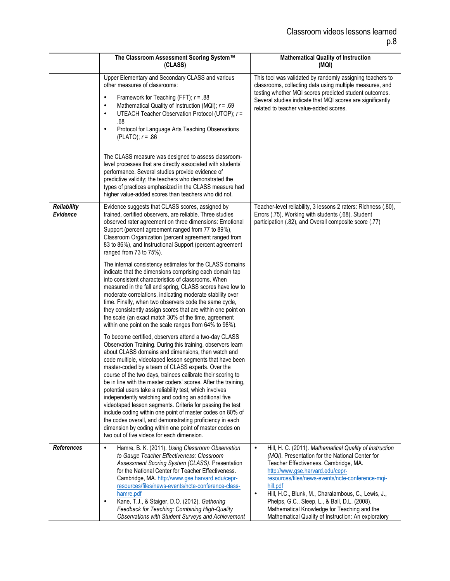|                                       | The Classroom Assessment Scoring System™<br>(CLASS)                                                                                                                                                                                                                                                                                                                                                                                                                                                                                                                                                                                                                                                                                                                                                                                                                                                                                                                                                                                                                                                                                                                                                                                                                                                                                                                                                                                                                                                                                                                                                                                                                                                                                    | <b>Mathematical Quality of Instruction</b><br>(MQI)                                                                                                                                                                                                                                                                                                                                                                                                                                             |
|---------------------------------------|----------------------------------------------------------------------------------------------------------------------------------------------------------------------------------------------------------------------------------------------------------------------------------------------------------------------------------------------------------------------------------------------------------------------------------------------------------------------------------------------------------------------------------------------------------------------------------------------------------------------------------------------------------------------------------------------------------------------------------------------------------------------------------------------------------------------------------------------------------------------------------------------------------------------------------------------------------------------------------------------------------------------------------------------------------------------------------------------------------------------------------------------------------------------------------------------------------------------------------------------------------------------------------------------------------------------------------------------------------------------------------------------------------------------------------------------------------------------------------------------------------------------------------------------------------------------------------------------------------------------------------------------------------------------------------------------------------------------------------------|-------------------------------------------------------------------------------------------------------------------------------------------------------------------------------------------------------------------------------------------------------------------------------------------------------------------------------------------------------------------------------------------------------------------------------------------------------------------------------------------------|
|                                       | Upper Elementary and Secondary CLASS and various<br>other measures of classrooms:<br>Framework for Teaching (FFT); $r = .88$<br>$\bullet$<br>Mathematical Quality of Instruction (MQI); $r = .69$<br>$\bullet$<br>UTEACH Teacher Observation Protocol (UTOP); r =<br>$\bullet$<br>.68<br>Protocol for Language Arts Teaching Observations<br>$\bullet$<br>(PLATO); $r = .86$<br>The CLASS measure was designed to assess classroom-<br>level processes that are directly associated with students'<br>performance. Several studies provide evidence of<br>predictive validity; the teachers who demonstrated the<br>types of practices emphasized in the CLASS measure had<br>higher value-added scores than teachers who did not.                                                                                                                                                                                                                                                                                                                                                                                                                                                                                                                                                                                                                                                                                                                                                                                                                                                                                                                                                                                                     | This tool was validated by randomly assigning teachers to<br>classrooms, collecting data using multiple measures, and<br>testing whether MQI scores predicted student outcomes.<br>Several studies indicate that MQI scores are significantly<br>related to teacher value-added scores.                                                                                                                                                                                                         |
| <b>Reliability</b><br><b>Evidence</b> | Evidence suggests that CLASS scores, assigned by<br>trained, certified observers, are reliable. Three studies<br>observed rater agreement on three dimensions: Emotional<br>Support (percent agreement ranged from 77 to 89%),<br>Classroom Organization (percent agreement ranged from<br>83 to 86%), and Instructional Support (percent agreement<br>ranged from 73 to 75%).<br>The internal consistency estimates for the CLASS domains<br>indicate that the dimensions comprising each domain tap<br>into consistent characteristics of classrooms. When<br>measured in the fall and spring, CLASS scores have low to<br>moderate correlations, indicating moderate stability over<br>time. Finally, when two observers code the same cycle,<br>they consistently assign scores that are within one point on<br>the scale (an exact match 30% of the time, agreement<br>within one point on the scale ranges from 64% to 98%).<br>To become certified, observers attend a two-day CLASS<br>Observation Training. During this training, observers learn<br>about CLASS domains and dimensions, then watch and<br>code multiple, videotaped lesson segments that have been<br>master-coded by a team of CLASS experts. Over the<br>course of the two days, trainees calibrate their scoring to<br>be in line with the master coders' scores. After the training,<br>potential users take a reliability test, which involves<br>independently watching and coding an additional five<br>videotaped lesson segments. Criteria for passing the test<br>include coding within one point of master codes on 80% of<br>the codes overall, and demonstrating proficiency in each<br>dimension by coding within one point of master codes on | Teacher-level reliability, 3 lessons 2 raters: Richness (.80),<br>Errors (.75), Working with students (.68), Student<br>participation (.82), and Overall composite score (.77)                                                                                                                                                                                                                                                                                                                  |
| References                            | two out of five videos for each dimension.<br>Hamre, B. K. (2011). Using Classroom Observation<br>$\bullet$<br>to Gauge Teacher Effectiveness: Classroom<br>Assessment Scoring System (CLASS). Presentation<br>for the National Center for Teacher Effectiveness.<br>Cambridge, MA. http://www.gse.harvard.edu/cepr-<br>resources/files/news-events/ncte-conference-class-<br>hamre.pdf<br>Kane, T.J., & Staiger, D.O. (2012). Gathering<br>$\bullet$<br>Feedback for Teaching: Combining High-Quality<br>Observations with Student Surveys and Achievement                                                                                                                                                                                                                                                                                                                                                                                                                                                                                                                                                                                                                                                                                                                                                                                                                                                                                                                                                                                                                                                                                                                                                                            | Hill, H. C. (2011). Mathematical Quality of Instruction<br>$\bullet$<br>(MQI). Presentation for the National Center for<br>Teacher Effectiveness. Cambridge, MA.<br>http://www.gse.harvard.edu/cepr-<br>resources/files/news-events/ncte-conference-mqi-<br>hill.pdf<br>Hill, H.C., Blunk, M., Charalambous, C., Lewis, J.,<br>$\bullet$<br>Phelps, G.C., Sleep, L., & Ball, D.L. (2008).<br>Mathematical Knowledge for Teaching and the<br>Mathematical Quality of Instruction: An exploratory |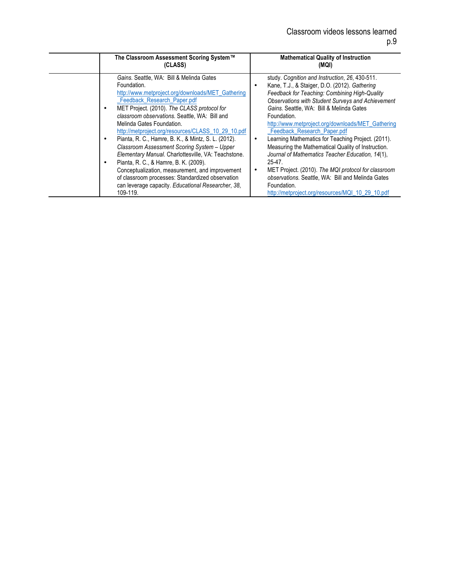| The Classroom Assessment Scoring System™                                                                                                                                                                                                                                                                                                                                                                                                                                                                                                                                                                                                                                                                                    | <b>Mathematical Quality of Instruction</b>                                                                                                                                                                                                                                                                                                                                                                                                                                                                                                                                                                                                                                                                      |
|-----------------------------------------------------------------------------------------------------------------------------------------------------------------------------------------------------------------------------------------------------------------------------------------------------------------------------------------------------------------------------------------------------------------------------------------------------------------------------------------------------------------------------------------------------------------------------------------------------------------------------------------------------------------------------------------------------------------------------|-----------------------------------------------------------------------------------------------------------------------------------------------------------------------------------------------------------------------------------------------------------------------------------------------------------------------------------------------------------------------------------------------------------------------------------------------------------------------------------------------------------------------------------------------------------------------------------------------------------------------------------------------------------------------------------------------------------------|
| (CLASS)                                                                                                                                                                                                                                                                                                                                                                                                                                                                                                                                                                                                                                                                                                                     | (MQI)                                                                                                                                                                                                                                                                                                                                                                                                                                                                                                                                                                                                                                                                                                           |
| Gains. Seattle, WA: Bill & Melinda Gates<br>Foundation.<br>http://www.metproject.org/downloads/MET_Gathering<br>_Feedback_Research_Paper.pdf<br>MET Project. (2010). The CLASS protocol for<br>$\bullet$<br>classroom observations. Seattle, WA: Bill and<br>Melinda Gates Foundation.<br>http://metproject.org/resources/CLASS_10_29_10.pdf<br>Pianta, R. C., Hamre, B. K., & Mintz, S. L. (2012).<br>Classroom Assessment Scoring System - Upper<br>Elementary Manual. Charlottesville, VA: Teachstone.<br>Pianta, R. C., & Hamre, B. K. (2009).<br>Conceptualization, measurement, and improvement<br>of classroom processes: Standardized observation<br>can leverage capacity. Educational Researcher, 38,<br>109-119. | study. Cognition and Instruction, 26, 430-511.<br>Kane, T.J., & Staiger, D.O. (2012). Gathering<br>Feedback for Teaching: Combining High-Quality<br>Observations with Student Surveys and Achievement<br>Gains. Seattle, WA: Bill & Melinda Gates<br>Foundation.<br>http://www.metproject.org/downloads/MET_Gathering<br>Feedback_Research_Paper.pdf<br>Learning Mathematics for Teaching Project. (2011).<br>Measuring the Mathematical Quality of Instruction.<br>Journal of Mathematics Teacher Education, 14(1),<br>$25-47.$<br>MET Project. (2010). The MQI protocol for classroom<br>observations. Seattle, WA: Bill and Melinda Gates<br>Foundation.<br>http://metproject.org/resources/MQI_10_29_10.pdf |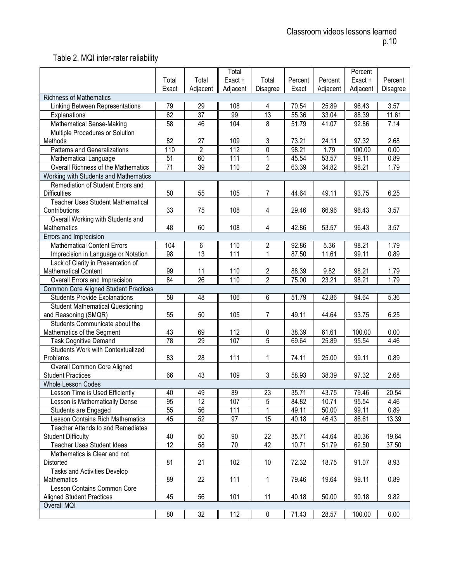## Table 2. MQI inter-rater reliability

|                                              |                 |                 | Total    |                 |         |          | Percent  |          |
|----------------------------------------------|-----------------|-----------------|----------|-----------------|---------|----------|----------|----------|
|                                              | Total           | Total           | Exact +  | Total           | Percent | Percent  | Exact +  | Percent  |
|                                              | Exact           | Adjacent        | Adjacent | Disagree        | Exact   | Adjacent | Adjacent | Disagree |
| <b>Richness of Mathematics</b>               |                 |                 |          |                 |         |          |          |          |
| <b>Linking Between Representations</b>       | 79              | 29              | 108      | 4               | 70.54   | 25.89    | 96.43    | 3.57     |
| Explanations                                 | 62              | 37              | 99       | 13              | 55.36   | 33.04    | 88.39    | 11.61    |
| Mathematical Sense-Making                    | 58              | 46              | 104      | 8               | 51.79   | 41.07    | 92.86    | 7.14     |
| Multiple Procedures or Solution              |                 |                 |          |                 |         |          |          |          |
| Methods                                      | 82              | 27              | 109      | 3               | 73.21   | 24.11    | 97.32    | 2.68     |
| <b>Patterns and Generalizations</b>          | 110             | $\overline{2}$  | 112      | $\overline{0}$  | 98.21   | 1.79     | 100.00   | 0.00     |
| Mathematical Language                        | $\overline{51}$ | 60              | 111      | 1               | 45.54   | 53.57    | 99.11    | 0.89     |
| Overall Richness of the Mathematics          | $\overline{71}$ | 39              | 110      | $\overline{2}$  | 63.39   | 34.82    | 98.21    | 1.79     |
| Working with Students and Mathematics        |                 |                 |          |                 |         |          |          |          |
| Remediation of Student Errors and            |                 |                 |          |                 |         |          |          |          |
| <b>Difficulties</b>                          | 50              | 55              | 105      | $\overline{7}$  | 44.64   | 49.11    | 93.75    | 6.25     |
| <b>Teacher Uses Student Mathematical</b>     |                 |                 |          |                 |         |          |          |          |
| Contributions                                | 33              | 75              | 108      | 4               | 29.46   | 66.96    | 96.43    | 3.57     |
| Overall Working with Students and            |                 |                 |          |                 |         |          |          |          |
| Mathematics                                  | 48              | 60              | 108      | 4               | 42.86   | 53.57    | 96.43    | 3.57     |
| Errors and Imprecision                       |                 |                 |          |                 |         |          |          |          |
| <b>Mathematical Content Errors</b>           | 104             | 6               | 110      | 2               | 92.86   | 5.36     | 98.21    | 1.79     |
| Imprecision in Language or Notation          | 98              | $\overline{13}$ | 111      | 1               | 87.50   | 11.61    | 99.11    | 0.89     |
| Lack of Clarity in Presentation of           |                 |                 |          |                 |         |          |          |          |
| <b>Mathematical Content</b>                  | 99              | 11              | 110      | 2               | 88.39   | 9.82     | 98.21    | 1.79     |
| Overall Errors and Imprecision               | 84              | $\overline{26}$ | 110      | $\overline{2}$  | 75.00   | 23.21    | 98.21    | 1.79     |
| <b>Common Core Aligned Student Practices</b> |                 |                 |          |                 |         |          |          |          |
| <b>Students Provide Explanations</b>         | 58              | 48              | 106      | 6               | 51.79   | 42.86    | 94.64    | 5.36     |
| <b>Student Mathematical Questioning</b>      |                 |                 |          |                 |         |          |          |          |
| and Reasoning (SMQR)                         | 55              | 50              | 105      | 7               | 49.11   | 44.64    | 93.75    | 6.25     |
| Students Communicate about the               |                 |                 |          |                 |         |          |          |          |
| Mathematics of the Segment                   | 43              | 69              | 112      | 0               | 38.39   | 61.61    | 100.00   | 0.00     |
| <b>Task Cognitive Demand</b>                 | $\overline{78}$ | 29              | 107      | $\overline{5}$  | 69.64   | 25.89    | 95.54    | 4.46     |
| Students Work with Contextualized            |                 |                 |          |                 |         |          |          |          |
| Problems                                     | 83              | 28              | 111      | 1               | 74.11   | 25.00    | 99.11    | 0.89     |
| Overall Common Core Aligned                  |                 |                 |          |                 |         |          |          |          |
| <b>Student Practices</b>                     | 66              | 43              | 109      | 3               | 58.93   | 38.39    | 97.32    | 2.68     |
| <b>Whole Lesson Codes</b>                    |                 |                 |          |                 |         |          |          |          |
| Lesson Time is Used Efficiently              | 40              | 49              | 89       | 23              | 35.71   | 43.75    | 79.46    | 20.54    |
| Lesson is Mathematically Dense               | 95              | 12              | 107      | 5               | 84.82   | 10.71    | 95.54    | 4.46     |
| Students are Engaged                         | 55              | 56              | 111      |                 | 49.11   | 50.00    | 99.11    | 0.89     |
| <b>Lesson Contains Rich Mathematics</b>      | 45              | 52              | 97       | 15              | 40.18   | 46.43    | 86.61    | 13.39    |
| Teacher Attends to and Remediates            |                 |                 |          |                 |         |          |          |          |
| <b>Student Difficulty</b>                    | 40              | 50              | 90       | 22              | 35.71   | 44.64    | 80.36    | 19.64    |
| <b>Teacher Uses Student Ideas</b>            | $\overline{12}$ | 58              | 70       | 42              | 10.71   | 51.79    | 62.50    | 37.50    |
| Mathematics is Clear and not                 |                 |                 |          |                 |         |          |          |          |
| Distorted                                    | 81              | 21              | 102      | 10 <sup>°</sup> | 72.32   | 18.75    | 91.07    | 8.93     |
| Tasks and Activities Develop                 |                 |                 |          |                 |         |          |          |          |
| Mathematics                                  | 89              | 22              | 111      | 1               | 79.46   | 19.64    | 99.11    | 0.89     |
| Lesson Contains Common Core                  |                 |                 |          |                 |         |          |          |          |
| <b>Aligned Student Practices</b>             | 45              | 56              | 101      | 11              | 40.18   | 50.00    | 90.18    | 9.82     |
| Overall MQI                                  |                 |                 |          |                 |         |          |          |          |
|                                              | 80              | 32              | 112      | $\pmb{0}$       | 71.43   | 28.57    | 100.00   | 0.00     |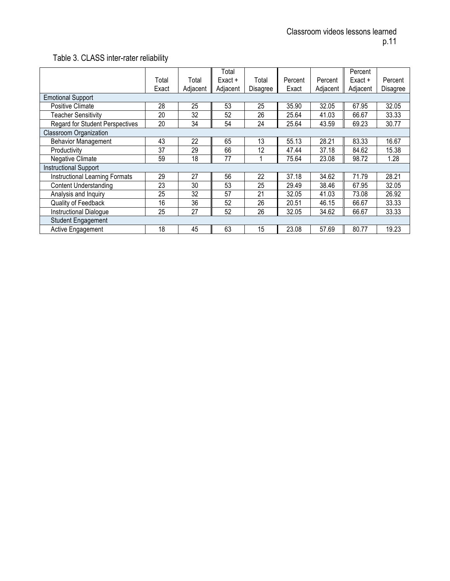## Table 3. CLASS inter-rater reliability

|                                        |       |          | Total     |                 |         |          | Percent   |          |
|----------------------------------------|-------|----------|-----------|-----------------|---------|----------|-----------|----------|
|                                        | Total | Total    | $Exact +$ | Total           | Percent | Percent  | $Exact +$ | Percent  |
|                                        | Exact | Adjacent | Adjacent  | <b>Disagree</b> | Exact   | Adjacent | Adjacent  | Disagree |
| <b>Emotional Support</b>               |       |          |           |                 |         |          |           |          |
| Positive Climate                       | 28    | 25       | 53        | 25              | 35.90   | 32.05    | 67.95     | 32.05    |
| <b>Teacher Sensitivity</b>             | 20    | 32       | 52        | 26              | 25.64   | 41.03    | 66.67     | 33.33    |
| <b>Regard for Student Perspectives</b> | 20    | 34       | 54        | 24              | 25.64   | 43.59    | 69.23     | 30.77    |
| Classroom Organization                 |       |          |           |                 |         |          |           |          |
| <b>Behavior Management</b>             | 43    | 22       | 65        | 13              | 55.13   | 28.21    | 83.33     | 16.67    |
| Productivity                           | 37    | 29       | 66        | 12              | 47.44   | 37.18    | 84.62     | 15.38    |
| Negative Climate                       | 59    | 18       | 77        | 1               | 75.64   | 23.08    | 98.72     | 1.28     |
| <b>Instructional Support</b>           |       |          |           |                 |         |          |           |          |
| <b>Instructional Learning Formats</b>  | 29    | 27       | 56        | 22              | 37.18   | 34.62    | 71.79     | 28.21    |
| <b>Content Understanding</b>           | 23    | 30       | 53        | 25              | 29.49   | 38.46    | 67.95     | 32.05    |
| Analysis and Inquiry                   | 25    | 32       | 57        | 21              | 32.05   | 41.03    | 73.08     | 26.92    |
| Quality of Feedback                    | 16    | 36       | 52        | 26              | 20.51   | 46.15    | 66.67     | 33.33    |
| <b>Instructional Dialogue</b>          | 25    | 27       | 52        | 26              | 32.05   | 34.62    | 66.67     | 33.33    |
| <b>Student Engagement</b>              |       |          |           |                 |         |          |           |          |
| Active Engagement                      | 18    | 45       | 63        | 15              | 23.08   | 57.69    | 80.77     | 19.23    |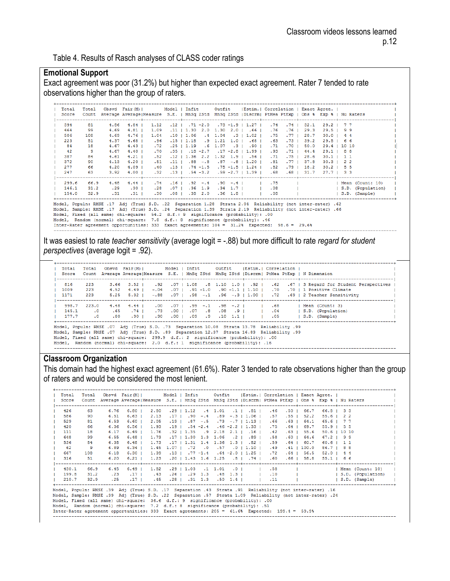Table 4. Results of Rasch analyses of CLASS coder ratings

### **Emotional Support**

Exact agreement was poor (31.2%) but higher than expected exact agreement. Rater 7 tended to rate observations higher than the group of raters.

| Total<br>Score | Total | Count Average Average Measure S.E.   MnSq ZStd MnSq ZStd   Discrm  PtMea PtExp   Obs % Exp %   Nu Raters | Obsvd Fair(M)     |      | Model   Infit            |                    |             |            |                                          |      |                  |      | Outfit [Estim.   Correlation   Exact Agree, |                        |                   |
|----------------|-------|----------------------------------------------------------------------------------------------------------|-------------------|------|--------------------------|--------------------|-------------|------------|------------------------------------------|------|------------------|------|---------------------------------------------|------------------------|-------------------|
| 394            | 81    | 4.86                                                                                                     | $4.84$ $\pm$      | 1.12 |                          |                    |             |            | $12$   $71$ -2.0 $73$ -1.9   1.27        | .74  | $.74$ 1          | 32.1 | $29.2 \quad 7.7$                            |                        |                   |
| 464            | 99    | 4.69                                                                                                     | $4.81$ $\pm$      | 1.09 |                          |                    |             |            | $.11$   1.30 2.0 1.30 2.0   .66          | .76  | .76 <sub>1</sub> | 29.3 | $29.5 \quad 9.9$                            |                        |                   |
| 506            | 108   | 4.69                                                                                                     | $4.76$ I          | 1.04 |                          | $.10 \pm 1.06$     |             |            | $.4$ 1.04 $.3$   1.02                    | .75  | .77 <sub>1</sub> | 28.7 |                                             | $30.0 \quad 4 \quad 4$ |                   |
| 223            | 51    | 4.37                                                                                                     | $4.68$            | .96  |                          |                    |             |            | $.15$   1.18 $.9$ 1.21 1.0   .68         | . 63 | .73 <sub>1</sub> | 39.2 |                                             | $29.5 \quad 66$        |                   |
| 84             | 18    | 4.67                                                                                                     | $4.43 \text{ }$   | .72  |                          |                    |             |            | .25   1.19 .6 1.07 .3   .90              | .71  | .70 <sub>1</sub> | 50.0 |                                             | 29.4   10 10           |                   |
| 42             | 9     | 4.67                                                                                                     | 4.40 <sub>1</sub> | .70  |                          |                    |             |            | $.35$   $.18$ -2.7 .17 -2.8   1.99       | .93  | .71 <sub>1</sub> | 44.4 | 29.1   8 8                                  |                        |                   |
| 387            | 84    | 4.61                                                                                                     | $4.21$            | .52  |                          |                    |             |            | $.12$   1.36 2.2 1.32 1.9   .56          | .71  | $.75$            | 28.6 |                                             | $30.1$   1 1           |                   |
| 372            | 90    | 4.13                                                                                                     | $4.20$ $\pm$      | .51  |                          |                    |             |            | $.11$   $.88$ - $.8$ $.87$ - $.8$   1.20 | .81  | .77 <sub>1</sub> | 37.8 |                                             | $30.3$   2 2           |                   |
| 277            | 66    | 4.20                                                                                                     | 4.09 <sub>1</sub> | .40  |                          | $.13$   $.74$ -1.5 |             |            | $.75 - 1.5 + 1.24$                       | .82  | .79 <sub>1</sub> | 18.2 | $30.2$   5 5                                |                        |                   |
| 247            | 63    | 3.92                                                                                                     | 4.00 <sub>1</sub> |      | $.32$ $.13$ $.54$ $-3.2$ |                    |             |            | $.59 - 2.7 + 1.39 +$                     | .68  | .68 I            | 31.7 | 27.7   33                                   |                        |                   |
| 299.6          | 66.9  | 4.48                                                                                                     | $4.44$            | .74  |                          | $.16$   $.92$ -.4  |             | $.90 - .4$ |                                          | .75  |                  |      |                                             |                        | Mean (Count: 10)  |
| 146.1          | 31.2  | .29                                                                                                      | .30 <sub>1</sub>  | .28  | .07 <sub>1</sub>         |                    | $.36$ 1.9   | $.34$ 1.7  |                                          | .08  |                  |      |                                             |                        | S.D. (Population) |
| 154.0          | 32.9  | .31                                                                                                      | $.31$ $\pm$       | .30  | $.08$                    |                    | $.38 \t2.0$ | $.36$ 1.8  |                                          | .08  |                  |      |                                             |                        | S.D. (Sample)     |

Model, Fogui: RMSE.17 Adj (True) S.D. .24 Separation 1.39 Strata 2.19 Reliability (not inter-<br>Model, Sample: RMSE.17 Adj (True) S.D. .24 Separation 1.39 Strata 2.19 Reliability (not inter-<br>Model, Fixed (all same) chi-squar Reliability (not inter-rate

It was easiest to rate *teacher sensitivity* (average logit = -.88) but more difficult to rate *regard for student perspectives* (average logit = .92).

| Total<br>Score | Total<br>Count         |              | Obsvd Fair(M)                                                                                                                                                                                                                                                                                                                                                 |               |  |                  | Model   Infit   Outfit   Estim,   Correlation   |                            |  | Average Average   Measure S.E.   MnSq ZStd MnSq ZStd   Discrm   PtMea PtExp   N Dimension                           |
|----------------|------------------------|--------------|---------------------------------------------------------------------------------------------------------------------------------------------------------------------------------------------------------------------------------------------------------------------------------------------------------------------------------------------------------------|---------------|--|------------------|-------------------------------------------------|----------------------------|--|---------------------------------------------------------------------------------------------------------------------|
| 816<br>1009    | 223<br>223             | 3.66<br>4.52 | $3.52$ 1<br>4.49 1                                                                                                                                                                                                                                                                                                                                            | .92<br>$-.04$ |  |                  |                                                 |                            |  | 07   1.08 .8 1.10 1.0   .92   .62 .67   3 Regard for Student Perspectives.07   1.0807  <br>.70   1 Positive Climate |
| 1171           | 223                    | 5.25         | $5.32 \quad \square$                                                                                                                                                                                                                                                                                                                                          |               |  |                  |                                                 |                            |  | $-0.88$ .07   .98 - .1 .96 - .3   1.00   .72 .69   2 Teacher Sensitivity                                            |
| 998.7          | 223.0                  | 4.48         | $4.44$                                                                                                                                                                                                                                                                                                                                                        | .00           |  |                  | .07 U 1 2 - 38 - .2 U 1 07 U 1 09 - 1 08 - .2 U |                            |  | Mean (Count: 3)                                                                                                     |
| 145.1<br>177.7 | $\cdot$ 0<br>$\cdot$ 0 | .65<br>.80   | $.74$ 1<br>.90 <sub>1</sub>                                                                                                                                                                                                                                                                                                                                   | .73           |  | 00 1 07 8 08 9 1 | $.90 \t .00 \t .09 \t .9 \t .10 \t .1.1 \t .1$  | $\overline{1}$ . 04<br>.05 |  | S.D. (Population)<br>  S.D. (Sample)                                                                                |
|                |                        |              | 99. Model, Populn: RMSE .07 Adj (True) S.D. .73 Separation 10.08 Strata 13.78 Reliability<br>99. Model, Sample: RMSE .07 Adj (True) S.D. .89 Separation 12.37 Strata 16.83 Reliability<br>Model, Fixed (all same) chi-square: 299.9 d.f.: 2 significance (probability): .00<br>Model, Random (normal) chi-square: 2.0 d.f.: 1 significance (probability): .16 |               |  |                  |                                                 |                            |  |                                                                                                                     |

#### **Classroom Organization**

This domain had the highest exact agreement (61.6%). Rater 3 tended to rate observations higher than the group of raters and would be considered the most lenient.

| Total<br>Score | Count |      | Total Obsvd Fair(M)   Model   Infit   Outfit   Estim.   Correlation   Exact Agree.  <br>Average Average Measure S.E.   MnSq ZStd MnSq ZStd   Discrm  PtMea PtExp   Obs % Exp %   Nu Raters                                                                                                                                                                                                                                                                                                      |               |  |  |                                                         |     |  |                                                                    |                   |
|----------------|-------|------|-------------------------------------------------------------------------------------------------------------------------------------------------------------------------------------------------------------------------------------------------------------------------------------------------------------------------------------------------------------------------------------------------------------------------------------------------------------------------------------------------|---------------|--|--|---------------------------------------------------------|-----|--|--------------------------------------------------------------------|-------------------|
| 426            | 63    | 6.76 | $6.80$ 1                                                                                                                                                                                                                                                                                                                                                                                                                                                                                        |               |  |  |                                                         |     |  | 2.80 .29   1.12 .4 1.01 .1   .81   .46 .50   66.7 66.8   33        |                   |
| 586            | 90    | 6.51 | $6.63$                                                                                                                                                                                                                                                                                                                                                                                                                                                                                          | 2.13          |  |  |                                                         |     |  | .17   .90 -.4 .89 -.3   1.06   .57 .55   52.2 55.6   22            |                   |
| 529            | 81    | 6.53 | $6.60$ 1                                                                                                                                                                                                                                                                                                                                                                                                                                                                                        | 2.05          |  |  |                                                         |     |  | .19   .87 -.5 .73 -.7   1.13   .66 .63   64.1 65.6   77            |                   |
| 420            | 66    | 6.36 |                                                                                                                                                                                                                                                                                                                                                                                                                                                                                                 | $6.56$   1.93 |  |  |                                                         |     |  | .19   .54 -2.4 .46 -2.2   1.33   .75 .64   69.7 55.9   55          |                   |
| 111            | 18    | 6.17 |                                                                                                                                                                                                                                                                                                                                                                                                                                                                                                 | $6.49$ $1.76$ |  |  | $.32$   1.35 $.9$ 2.18 2.1   .16                        |     |  | 42 .63   55.6 50.6   10 10                                         |                   |
| 648            | 99    | 6.55 |                                                                                                                                                                                                                                                                                                                                                                                                                                                                                                 | $6.48$   1.73 |  |  | $17 \mid 1.30 \mid 1.3 \mid 1.06 \mid .2 \mid .89 \mid$ |     |  | .58 .60   64.6 67.2   99                                           |                   |
| 536            | 84    | 6.38 |                                                                                                                                                                                                                                                                                                                                                                                                                                                                                                 |               |  |  | 6.48   1.73 .17   1.31 1.4 1.36 1.3   .82               | .59 |  | $.64$   60.7 60.6   11                                             |                   |
| -62            | 9     | 6.89 |                                                                                                                                                                                                                                                                                                                                                                                                                                                                                                 |               |  |  | 6.34   1.45 1.07   72 .0 .57 .0   1.10                  | .49 |  | $.41$   100.0 86.7   88                                            |                   |
| 667            | 108   | 6.18 |                                                                                                                                                                                                                                                                                                                                                                                                                                                                                                 |               |  |  | $6.30$   1.39 .13   .77 -1.4 .64 -2.0   1.25   .72      |     |  | $.64$   56.5 52.0   44                                             |                   |
| 316            | 51    | 6.20 |                                                                                                                                                                                                                                                                                                                                                                                                                                                                                                 |               |  |  |                                                         |     |  | 6 6.21 1.23 .20 1.43 1.6 1.25 .8 1 .74 1 .60 .66 1 58.8 55.1 1 6 6 |                   |
| 430.1          | 66.9  |      | 6.45 6.49   1.82 .29   1.03 .1 1.01 .0   1.58                                                                                                                                                                                                                                                                                                                                                                                                                                                   |               |  |  |                                                         |     |  |                                                                    | Mean (Count: 10)  |
| 199.8          | 31.2  | .23  | .17 <sub>1</sub>                                                                                                                                                                                                                                                                                                                                                                                                                                                                                | .43           |  |  | $.26$   $.29$ 1.3 $.48$ 1.3     .10                     |     |  |                                                                    | S.D. (Population) |
| 210.7          | 32.9  | .25  |                                                                                                                                                                                                                                                                                                                                                                                                                                                                                                 |               |  |  | 17   195   195   196   197   198   199   19             |     |  |                                                                    | S.D. (Sample)     |
|                |       |      | 16. Model, Populn: RMSE .39 Adj (True) S.D. .17 Separation .43 Strata .91 Reliability (not inter-rater)<br>24. Model, Sample: RMSE .39 Adj (True) S.D. .22 Separation .57 Strata 1.09 Reliability (not inter-rater) .24<br>Model, Fixed (all same) chi-square: 36.6 d.f.: 9 significance (probability): .00<br>Model, Random (normal) chi-square: 7.2 d.f.: 8 significance (probability): .51<br>Inter-Rater agreement opportunities: 333 Exact agreements: 205 = 61.6% Expected: 199.4 = 59.9% |               |  |  |                                                         |     |  |                                                                    |                   |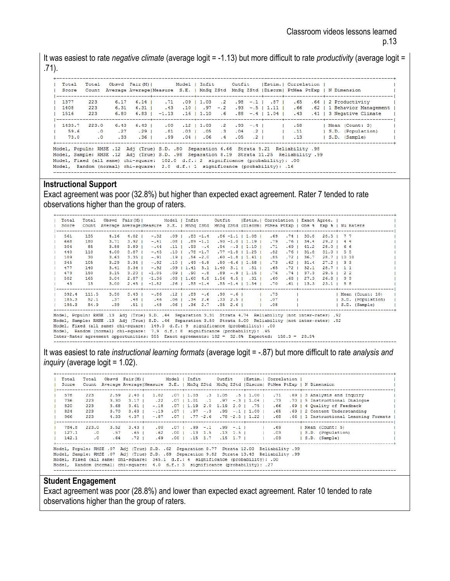It was easiest to rate *negative climate* (average logit = -1.13) but more difficult to rate *productivity* (average logit = .71).

| Total<br>Score       | Total<br>Count                                                                                                                                                                                                                         |                | Obsvd Fair(M)   Model   Infit   Outfit   Estim.   Correlation  <br>Average Average   Measure S.E.   MnSq ZStd MnSq ZStd   Discrm   PtMea PtExp   N Dimension |                    |  |  |                                                                             |     |  |                                                                                                                                                                                                                       |  |
|----------------------|----------------------------------------------------------------------------------------------------------------------------------------------------------------------------------------------------------------------------------------|----------------|--------------------------------------------------------------------------------------------------------------------------------------------------------------|--------------------|--|--|-----------------------------------------------------------------------------|-----|--|-----------------------------------------------------------------------------------------------------------------------------------------------------------------------------------------------------------------------|--|
| 1377<br>1408<br>1516 | 223<br>223<br>223                                                                                                                                                                                                                      | 6.31<br>6.80   | $6.17$ $6.14$ $\blacksquare$<br>$6.31$ $\mid$                                                                                                                | .43                |  |  |                                                                             |     |  | 66   2 Productivity   1.03 . 2 .98 - 1   .87   .65 .66   2 Productivity<br>.10   .97 -.2 .93 -.5   1.11   .66 .62   1 Behavior Management<br>6.83   -1.13 .16   1.10 .6 .88 -.4   1.04   .43 .41   3 Negative Climate |  |
| 1433.7               | 223.0<br>59.6<br>$\cdot$ 0<br>73.0<br>$\cdot$ 0<br>98. Model, Populn: RMSE .12 Adj (True) S.D. .80 Separation 6.66 Strata 9.21 Reliability<br>99. Model, Sample: RMSE .12 Adj (True) S.D. .98 Separation 8.19 Strata 11.25 Reliability | .27<br>$.33 -$ | $6.43$ $6.43$ $\blacksquare$<br>$.29$ I<br>$.36$ 1                                                                                                           | .00<br>. 81<br>.99 |  |  | $12 \mid 1.03$ $2 \mid 93 - 4 \mid$<br>$.04$   $.06$ $.4$ $.05$ $.2$   $.1$ | .13 |  | .58   Mean (Count: 3)<br>.03   .05 .3 .04 .2   .11   S.D. (Population)<br>$ $ S.D. $(Sample)$                                                                                                                         |  |
|                      | Model, Fixed (all same) chi-square: 102.0 d.f.: 2 significance (probability): .00<br>Model, Random (normal) chi-square: 2.0 d.f.: 1 significance (probability): .16                                                                    |                |                                                                                                                                                              |                    |  |  |                                                                             |     |  |                                                                                                                                                                                                                       |  |

## **Instructional Support**

Exact agreement was poor (32.8%) but higher than expected exact agreement. Rater 7 tended to rate observations higher than the group of raters.

| Total<br>Score | Total<br>Count |      |               |                        |                  | Obsvd Fair(M)   Model   Infit   Outfit   Estim.   Correlation   Exact Agree.  <br>Average Average   Measure S.E.   MnSq ZStd MnSq ZStd   Discrm   PtMea PtExp   Obs % Exp %   Nu Raters                                                                                                                                                                                                                                                                                                                 |                      |     |                |                        |                 |                   |
|----------------|----------------|------|---------------|------------------------|------------------|---------------------------------------------------------------------------------------------------------------------------------------------------------------------------------------------------------------------------------------------------------------------------------------------------------------------------------------------------------------------------------------------------------------------------------------------------------------------------------------------------------|----------------------|-----|----------------|------------------------|-----------------|-------------------|
| 561            | 135            | 4.16 | $4.02$ 1      |                        |                  | $-32$ $-19$ $-14$ $-86$ $-11$ $1108$ $-69$ $-74$ $-130.8$ $-28.5$ $-77$                                                                                                                                                                                                                                                                                                                                                                                                                                 |                      |     |                |                        |                 |                   |
| 668            | 180            | 3.71 | $3.92$ $\mid$ | $-.41$                 |                  | .08   .08   .10   .10   1.19   .79 .76   34.4 29.2   80.                                                                                                                                                                                                                                                                                                                                                                                                                                                |                      |     |                |                        |                 |                   |
| 304            | 85             | 3.58 |               | $3.89$ $-0.44$         |                  | $.11$   $.93$ -.4 .94 -.3   1.10   .71                                                                                                                                                                                                                                                                                                                                                                                                                                                                  |                      |     | $.69$   $41.2$ | 28.0 1 6 6             |                 |                   |
| 440            | 110            | 4.00 |               | $3.87 \mid -0.45 \mid$ | .10 <sub>1</sub> | $.78 - 1.7$                                                                                                                                                                                                                                                                                                                                                                                                                                                                                             | $.77 - 1.8 + 1.25 +$ | .82 | $.76$   31.8   | 31.0   55              |                 |                   |
| 109            | 30             | 3.63 |               | $3.35 \mid -0.91$      |                  | $.19 \mid .56 - 2.0 \cdot .60 - 1.8 \mid 1.41 \mid$                                                                                                                                                                                                                                                                                                                                                                                                                                                     |                      | .85 | $.72$   36.7   | 28.7 1 10 10           |                 |                   |
| 345            | 105            | 3.29 |               | $3.34$ $-0.92$         |                  | $.10 \mid .49 - 4.8$ $.50 - 4.6 \mid 1.58 \mid$                                                                                                                                                                                                                                                                                                                                                                                                                                                         |                      | .73 | $.62 \pm 31.4$ |                        | $27.2$   33     |                   |
| 477            | 140            | 3.41 |               | $3.34 \quad -0.92$     |                  | $0.09$   1.41 3.1 1.40 3.1   .51                                                                                                                                                                                                                                                                                                                                                                                                                                                                        |                      | .65 | $.72 \pm 32.1$ |                        | 28.7   1 1      |                   |
| 473            | 150            | 3.15 | $3.20$ $\pm$  | $-1.05$                |                  | $0.09$   $0.90$ - $0.8$ $0.89$ - $0.9$   1.15                                                                                                                                                                                                                                                                                                                                                                                                                                                           |                      | .76 | $.74$   37.3   |                        | $29.5 \quad 22$ |                   |
| 502            | 165            | 3.04 |               |                        |                  | 2.87   -1.36 .08   1.60 4.8 1.56 4.5   .31                                                                                                                                                                                                                                                                                                                                                                                                                                                              |                      | .60 | $.68$   27.3   | 26.8   99              |                 |                   |
| 45             | 15             | 3.00 |               |                        |                  | 2.45   -1.82 .26   .55 -1.4 .55 -1.4   1.54   .70                                                                                                                                                                                                                                                                                                                                                                                                                                                       |                      |     |                | $.61$   13.3 23.1   88 |                 |                   |
| 392.4          | 111.5          | 3.50 |               |                        |                  | $3.43$   $-0.86$ $12$   $0.89$ $-0.6$ $-0.6$   $12$   $0.73$                                                                                                                                                                                                                                                                                                                                                                                                                                            |                      |     |                |                        |                 | Mean (Count: 10)  |
| 185.3          | 52.1           | .37  |               |                        |                  | $.48$   $.46$ $.06$   $.34$ 2.6 $.33$ 2.5     07                                                                                                                                                                                                                                                                                                                                                                                                                                                        |                      |     |                |                        |                 | S.D. (Population) |
| 195.3          | 54.9           | .39  | $.51$ $\pm$   |                        |                  | $.48$ $.06$   $.36$ 2.7 $.35$ 2.6                                                                                                                                                                                                                                                                                                                                                                                                                                                                       |                      | .08 |                |                        |                 | S.D. (Sample)     |
|                |                |      |               |                        |                  | 92. Model, Populn: RMSE .13 Adj (True) S.D. .44 Separation 3.31 Strata 4.74 Reliability (not inter-rater) .92<br>92. Model, Sample: RMSE .13 Adj (True) S.D. .46 Separation 3.50 Strata 5.00 Reliability (not inter-rater) .92<br>Model, Fixed (all same) chi-square: 149.0 d.f.: 9 significance (probability): .00<br>Model, Random (normal) chi-square: 7.9 d.f.: 8 significance (probability): .45<br>Inter-Rater agreement opportunities: 555 Exact agreements: 182 = 32.8% Expected: 158.3 = 28.5% |                      |     |                |                        |                 |                   |

It was easiest to rate *instructional learning formats* (average logit = -.87) but more difficult to rate *analysis and inquiry* (average logit = 1.02).

| Total<br>Score | Total<br>Count |      | Obsvd Fair(M)   Model   Infit   Outfit   Estim,   Correlation  <br>Average Average   Measure S.E.   MnSq ZStd MnSq ZStd   Discrm   PtMea PtExp   N Dimension                                                                                                                                                                                                |        |         |                    |                 |                 |                                                 |         |  |                                        |
|----------------|----------------|------|-------------------------------------------------------------------------------------------------------------------------------------------------------------------------------------------------------------------------------------------------------------------------------------------------------------------------------------------------------------|--------|---------|--------------------|-----------------|-----------------|-------------------------------------------------|---------|--|----------------------------------------|
| 578            | 223            | 2.59 | $2.40 \text{ } 1$                                                                                                                                                                                                                                                                                                                                           | 1.02   |         |                    |                 |                 | .07   1.03 .3 1.05 .5   1.00                    |         |  | .71 .69   3 Analysis and Inquiry       |
| 736            | 223            | 3.30 | $3.17 \text{ }$                                                                                                                                                                                                                                                                                                                                             | .22    |         |                    |                 |                 | $07$   1.01 .1 .97 -.3   1.04                   | $.73 -$ |  | .70   5 Instructional Dialogue         |
| 820            | 223            | 3.68 | $3.61$ $\pm$                                                                                                                                                                                                                                                                                                                                                | $-.18$ |         |                    |                 |                 | $07$   1.19 2.0 1.19 2.0   75                   | .66     |  | .69   4 Quality of Feedback            |
| 824            | 223            | 3.70 | $3.63 \text{ }$                                                                                                                                                                                                                                                                                                                                             | $-.19$ |         |                    |                 |                 | $07$ $1$ $97$ $-0.3$ $99$ $-0.1$ $1$ $1.00$ $1$ | .65     |  | .69   2 Content Understanding          |
| 966            | 223            | 4.33 | $4.37 \text{ }$                                                                                                                                                                                                                                                                                                                                             | $-.87$ |         |                    |                 |                 | $07 \mid 77 - 2.6$ $07 - 2.5 \mid 1.22 \mid$    | .68     |  | .66   1 Instructional Learning Formats |
|                |                |      |                                                                                                                                                                                                                                                                                                                                                             |        |         |                    |                 |                 |                                                 |         |  |                                        |
| 784.8          | 223.0          | 3.52 | $3.43 \quad  $                                                                                                                                                                                                                                                                                                                                              | .00    |         |                    |                 |                 | 1   1.- 99 -.1 .99 -.1 .                        | .69     |  | Mean (Count: 5)                        |
| 127.1          | $\cdot$ 0      | .57  | .65 <sub>1</sub>                                                                                                                                                                                                                                                                                                                                            | .62    | $.00$ 1 |                    | $.13 \quad 1.5$ | $.13$ 1.5 $\pm$ |                                                 | .03     |  | S.D. (Population)                      |
| 142.1          | $\cdot$ 0      | .64  | .72 <sub>1</sub>                                                                                                                                                                                                                                                                                                                                            | .69    |         | $.001$ $.15$ $1.7$ |                 | $.15$ 1.7       |                                                 | .03     |  | S.D. (Sample)                          |
|                |                |      | 99. Model, Populn: RMSE .07 Adj (True) S.D. .62 Separation 8.77 Strata 12.03 Reliability<br>99. Model, Sample: RMSE .07 Adj (True) S.D. .69 Separation 9.82 Strata 13.43 Reliability<br>Model, Fixed (all same) chi-square: 365.1 d.f.: 4 significance (probability): .00<br>Model, Random (normal) chi-square: 4.0 d.f.: 3 significance (probability): .27 |        |         |                    |                 |                 |                                                 |         |  |                                        |

### **Student Engagement**

Exact agreement was poor (28.8%) and lower than expected exact agreement. Rater 10 tended to rate observations higher than the group of raters.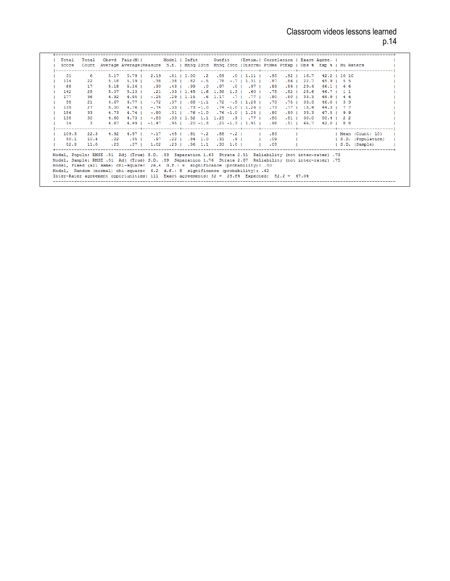| Total |      |         |                 |                         |  |  | Total Obsvd Fair(M)   Model   Infit   Outfit   Estim.   Correlation   Exact Agree.                            |                  |                |                           |              |                                                                  |
|-------|------|---------|-----------------|-------------------------|--|--|---------------------------------------------------------------------------------------------------------------|------------------|----------------|---------------------------|--------------|------------------------------------------------------------------|
| Score |      |         |                 |                         |  |  | Count Average Average   Measure S.E.   MnSq ZStd MnSq ZStd   Discrm   PtMea PtExp   Obs % Exp %   Nu Raters   |                  |                |                           |              |                                                                  |
| 31    | 6.   |         | $5.17$ $5.79$   |                         |  |  | 2.19 .81   1.00 .2 .89 .0   1.11   .95 .92   16.7 42.2   10 10                                                |                  |                |                           |              |                                                                  |
| 114   | 22   | 5.18    | $5.19$ $\pm$    | .38                     |  |  | $.38$   $.82$ -.5 .78 -.7   1.31   .87                                                                        | .86 <sub>1</sub> | 22.7           | $45.9$   55               |              |                                                                  |
| 88    | 17   | 5.18    | $5.16$ $\pm$    | .30                     |  |  | 99.   97.   10.   97.   99.   43.                                                                             |                  |                | $.86$   29.4 46.1   66    |              |                                                                  |
| 142   | 28   | 5.07    | $5.13 \text{ }$ | $\ldots$ 21             |  |  | $.33$   1.45 1.6 1.38 1.3   .60   .75                                                                         | $.82$ I          | 28.6           |                           | 46.7   11    |                                                                  |
| 177   | 36   | 4.92    | $4.95 \text{ }$ | $-.25$                  |  |  | $.29$   1.15 $.6$ 1.17 $.77$   $.70$   $.80$                                                                  | .80 <sub>1</sub> |                | $33.3$ $48.9$ $1$ $4$ $4$ |              |                                                                  |
| 98    | 21   | 4.67    | $4.77-1$        | $-.72$                  |  |  | $.37$   $.68$ -1.1 $.72$ -.9   1.28   .73                                                                     | .75 <sub>1</sub> | 33.3           |                           | $46.0$   3 3 |                                                                  |
| 135   | 27   | 5.00    | $4.76$ 1        | $-.74$                  |  |  | $.33$   $.73$ -1.0 $.74$ -1.0   1.26   $.73$                                                                  |                  | $.77 \pm 15.4$ | 44.3 1 7 7                |              |                                                                  |
| 156   | 33   | 4.73    | $4.74$ 1        | $-.80$                  |  |  | $-31$ $-76$ $-1.0$ $-76$ $-1.0$ $11.25$ $-80$                                                                 | $.80$ $\pm$      | 33.3           |                           | $47.5$   9 9 |                                                                  |
| 138   | 30   | 4.60    | $4.73$          | $-0.83$                 |  |  | .33   1.32 1.1 1.25 .9   .77   .80                                                                            | $.81$ $\pm$      | 30.0           |                           | $50.4$ 1 2 2 |                                                                  |
| 14    | 3.   | 4.67    | 4.49 1          |                         |  |  | $-1.47$ .95   .20 -1.3 .21 -1.3   1.91   .98 .51   66.7                                                       |                  |                |                           | 42.0   88    |                                                                  |
| 109.3 | 22.3 | 4.92    |                 |                         |  |  |                                                                                                               |                  |                |                           |              | 4.97   -.17 .45   .91 -.2 .88 -.2     .83       Mean (Count: 10) |
| 50.1  | 10.4 | .22     |                 | $.35 \quad 1 \quad .97$ |  |  |                                                                                                               |                  |                |                           |              | .22   .34 1.0 .31 .9   .09     S.D. (Population)                 |
| 52.8  | 11.0 | $.23 -$ | $.37 \pm$       |                         |  |  | $1.02$ $23$   $36$ $1.1$ $33$ $1.0$   $1$ $09$                                                                |                  |                |                           |              | S.D. (Sample)                                                    |
|       |      |         |                 |                         |  |  | 73. Model, Populn: RMSE .51 Adj (True) S.D. .83 Separation 1.63 Strata 2.51 Reliability (not inter-rater)     |                  |                |                           |              |                                                                  |
|       |      |         |                 |                         |  |  | 75. Model, Sample: RMSE .51 Adj (True) S.D. .89 Separation 1.76 Strata 2.67 Reliability (not inter-rater) .75 |                  |                |                           |              |                                                                  |
|       |      |         |                 |                         |  |  | Model, Fixed (all same) chi-square: 26.4 d.f.: 9 significance (probability): .00                              |                  |                |                           |              |                                                                  |
|       |      |         |                 |                         |  |  | Model, Random (normal) chi-square: 6.2 d.f.: 8 significance (probability): .62                                |                  |                |                           |              |                                                                  |
|       |      |         |                 |                         |  |  | Inter-Rater agreement opportunities: 111 Exact agreements: 32 = 28.8% Expected: 52.2 = 47.0%                  |                  |                |                           |              |                                                                  |